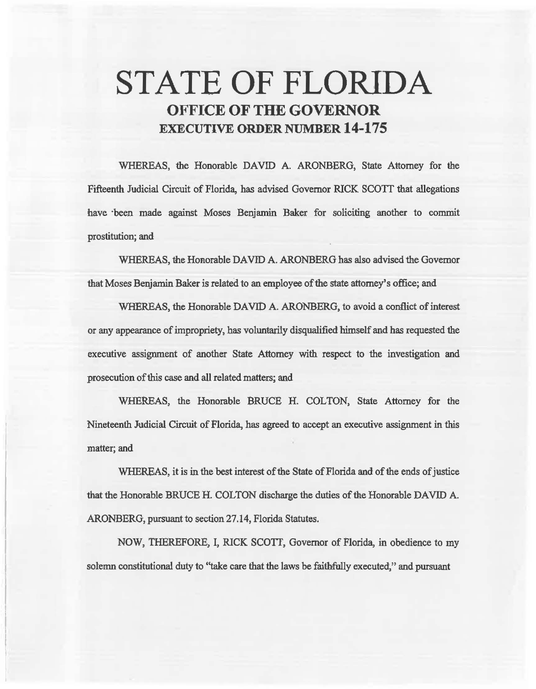# STATE OF FLORIDA OFFICE OF THE GOVERNOR EXECUTIVE ORDER NUMBER 14-175

WHEREAS, the Honorable DAVID A. ARONBERG, State Attorney for the Fifteenth Judicial Circuit of Florida, has advised Governor RICK SCOTT that allegations have ·been made against Moses Benjamin Baker for soliciting another to commit prostitution; and

WHEREAS, the Honorable DAVID A. ARONBERG has also advised the Governor that Moses Benjamin Baker is related to an employee of the state attorney's office; and

WHEREAS, the Honorable DAVID A. ARONBERG, to avoid a conflict of interest or any appearance of impropriety, has voluntarily disqualified himself and has requested the executive assignment of another State Attorney with respect to the investigation and prosecution of 1his case and all related matters; and

WHEREAS, the Honorable BRUCE H. COLTON, State Attorney for the Nineteenth Judicial Circuit of Florida, has agreed to accept an executive assignment in thls matter; and

WHEREAS, it is in the best interest of the State of Florida and of the ends of justice that the Honorable BRUCE H. COLTON discharge the duties of the Honorable DAVID A. ARONBERG, pursuant to section 27.14, Florida Statutes.

NOW, THEREFORE, I, RICK SCOTT, Governor of Florida, in obedience to my solemn constitutional duty to ''take care that the laws be faithfully executed," and pursuant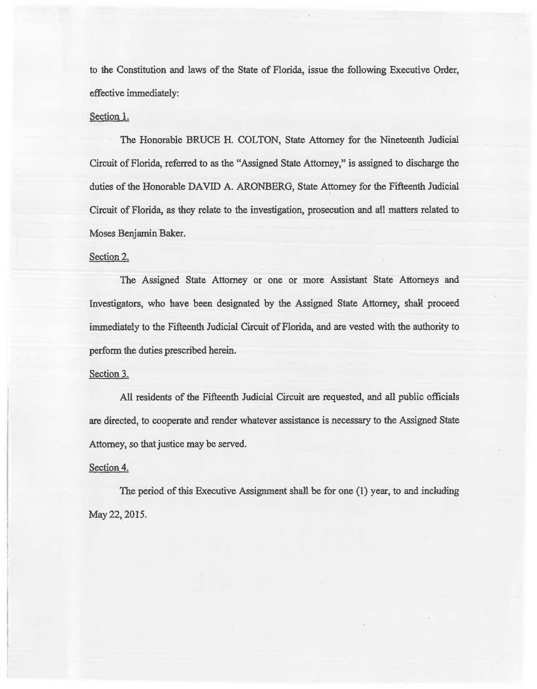to the Constitution and laws of the State of Florida, issue the following Executive Order, effective immediately:

# Section 1.

The Honorable BRUCE H. COLTON, State Attorney for the Nineteenth Judicial Circuit of Florida, referred to as the "Assigned State Attorney," is assigned to discharge the duties of the Honorable DAVID A. ARONBERG, State Attorney for the Fifteenth Judicial Circuit of Florida, *as* they relate to the investigation, prosecution and ail matters related to Moses Benjamin Baker.

## Section 2.

The Assigned State Attorney or one or more Assistant State Attorneys and Investigators, who have been designated by the Assigned State Attorney, shall proceed immediately to the Fifteenth. Judicial Circuit of Florida, and are vested with the authority to perform the duties prescribed herein.

#### Section 3.

All residents of the Fifteenth Judicial Circuit are requested, and all public officials are directed, to cooperate and render whatever assistance is necessary to the Assigned State Attorney, so that justice may be served.

## Section 4.

The period of this Executive Assignment shall be for one (l) year, to and including May 22, 2015.